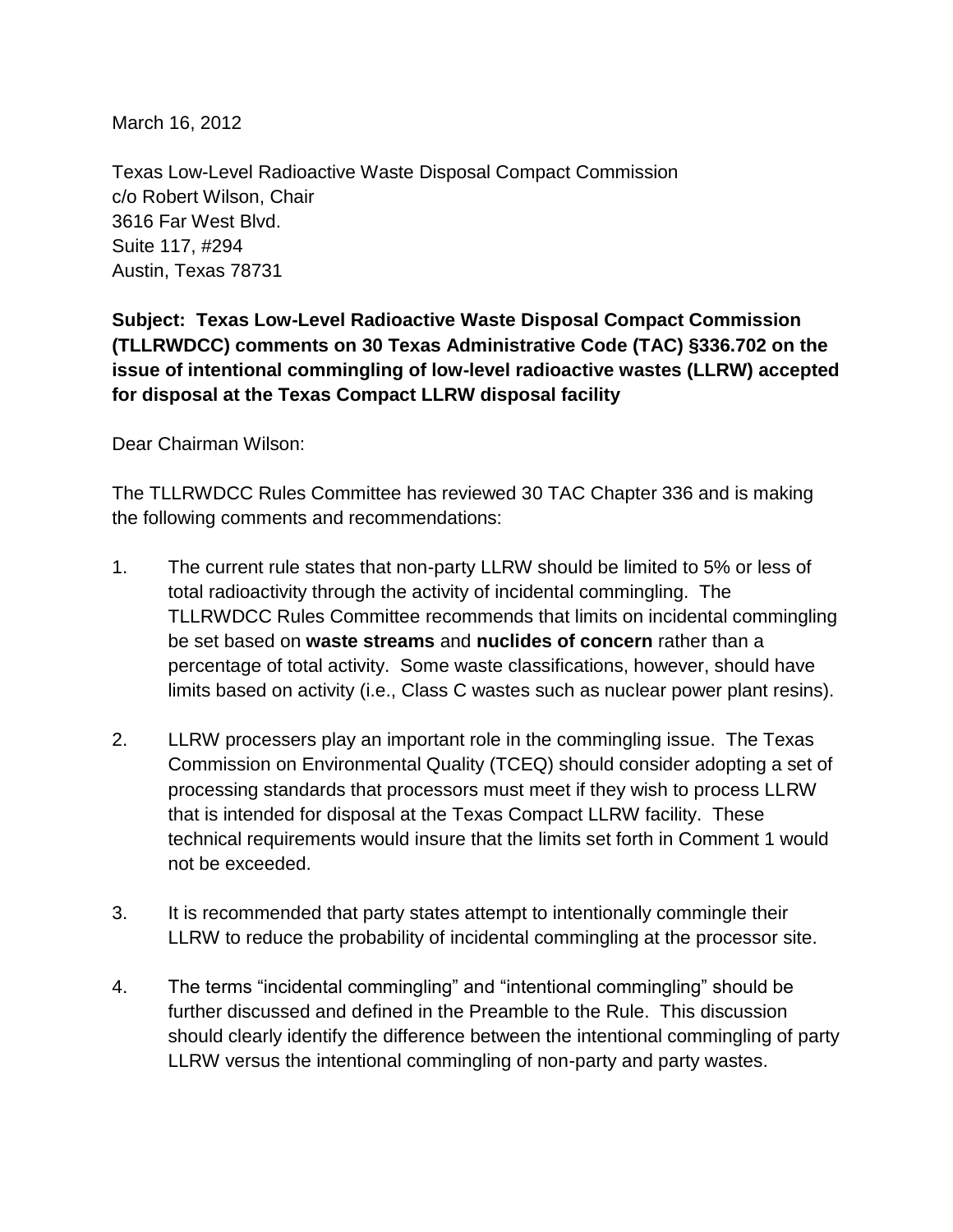March 16, 2012

Texas Low-Level Radioactive Waste Disposal Compact Commission c/o Robert Wilson, Chair 3616 Far West Blvd. Suite 117, #294 Austin, Texas 78731

**Subject: Texas Low-Level Radioactive Waste Disposal Compact Commission (TLLRWDCC) comments on 30 Texas Administrative Code (TAC) §336.702 on the issue of intentional commingling of low-level radioactive wastes (LLRW) accepted for disposal at the Texas Compact LLRW disposal facility**

Dear Chairman Wilson:

The TLLRWDCC Rules Committee has reviewed 30 TAC Chapter 336 and is making the following comments and recommendations:

- 1. The current rule states that non-party LLRW should be limited to 5% or less of total radioactivity through the activity of incidental commingling. The TLLRWDCC Rules Committee recommends that limits on incidental commingling be set based on **waste streams** and **nuclides of concern** rather than a percentage of total activity. Some waste classifications, however, should have limits based on activity (i.e., Class C wastes such as nuclear power plant resins).
- 2. LLRW processers play an important role in the commingling issue. The Texas Commission on Environmental Quality (TCEQ) should consider adopting a set of processing standards that processors must meet if they wish to process LLRW that is intended for disposal at the Texas Compact LLRW facility. These technical requirements would insure that the limits set forth in Comment 1 would not be exceeded.
- 3. It is recommended that party states attempt to intentionally commingle their LLRW to reduce the probability of incidental commingling at the processor site.
- 4. The terms "incidental commingling" and "intentional commingling" should be further discussed and defined in the Preamble to the Rule. This discussion should clearly identify the difference between the intentional commingling of party LLRW versus the intentional commingling of non-party and party wastes.